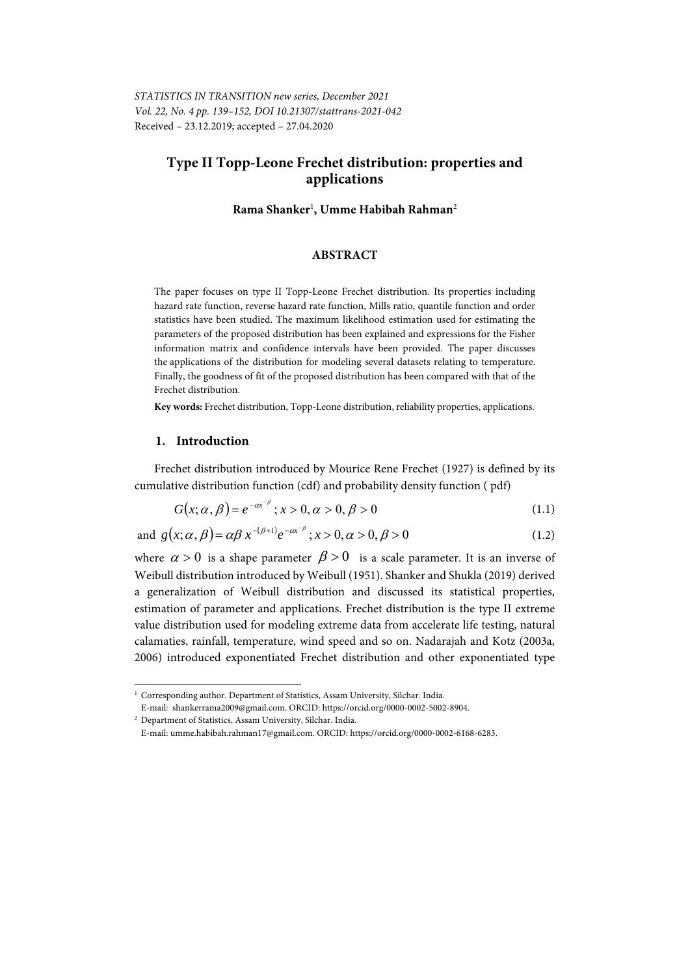# **Type II Topp-Leone Frechet distribution: properties and applications**

**Rama Shanker**<sup>1</sup> **, Umme Habibah Rahman**<sup>2</sup>

#### **ABSTRACT**

The paper focuses on type II Topp-Leone Frechet distribution. Its properties including hazard rate function, reverse hazard rate function, Mills ratio, quantile function and order statistics have been studied. The maximum likelihood estimation used for estimating the parameters of the proposed distribution has been explained and expressions for the Fisher information matrix and confidence intervals have been provided. The paper discusses the applications of the distribution for modeling several datasets relating to temperature. Finally, the goodness of fit of the proposed distribution has been compared with that of the Frechet distribution.

**Key words:** Frechet distribution, Topp-Leone distribution, reliability properties, applications.

#### **1. Introduction**

Frechet distribution introduced by Mourice Rene Frechet (1927) is defined by its cumulative distribution function (cdf) and probability density function ( pdf)

$$
G(x; \alpha, \beta) = e^{-\alpha x^{-\beta}}; x > 0, \alpha > 0, \beta > 0
$$
\n(1.1)

and 
$$
g(x; \alpha, \beta) = \alpha \beta x^{-(\beta+1)} e^{-\alpha x^{-\beta}}; x > 0, \alpha > 0, \beta > 0
$$
 (1.2)

where  $\alpha > 0$  is a shape parameter  $\beta > 0$  is a scale parameter. It is an inverse of Weibull distribution introduced by Weibull (1951). Shanker and Shukla (2019) derived a generalization of Weibull distribution and discussed its statistical properties, estimation of parameter and applications. Frechet distribution is the type II extreme value distribution used for modeling extreme data from accelerate life testing, natural calamaties, rainfall, temperature, wind speed and so on. Nadarajah and Kotz (2003a, 2006) introduced exponentiated Frechet distribution and other exponentiated type

l

<sup>&</sup>lt;sup>1</sup> Corresponding author. Department of Statistics, Assam University, Silchar. India.

E-mail: shankerrama2009@gmail.com. ORCID: https://orcid.org/0000-0002-5002-8904. 2

<sup>&</sup>lt;sup>2</sup> Department of Statistics, Assam University, Silchar. India.

E-mail: umme.habibah.rahman17@gmail.com. ORCID: https://orcid.org/0000-0002-6168-6283.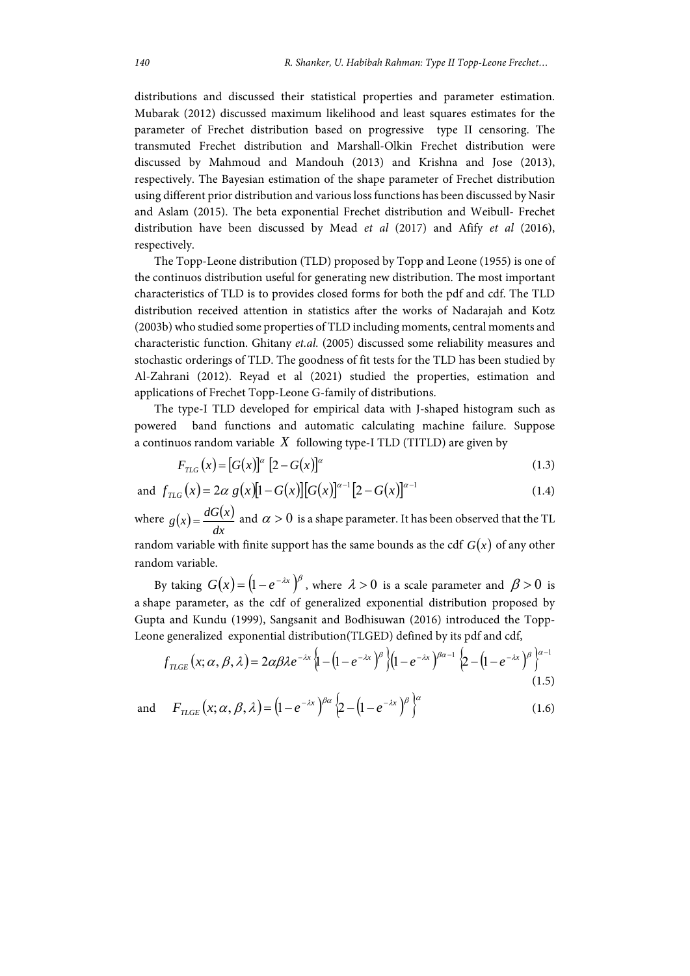distributions and discussed their statistical properties and parameter estimation. Mubarak (2012) discussed maximum likelihood and least squares estimates for the parameter of Frechet distribution based on progressive type II censoring. The transmuted Frechet distribution and Marshall-Olkin Frechet distribution were discussed by Mahmoud and Mandouh (2013) and Krishna and Jose (2013), respectively. The Bayesian estimation of the shape parameter of Frechet distribution using different prior distribution and various loss functions has been discussed by Nasir and Aslam (2015). The beta exponential Frechet distribution and Weibull- Frechet distribution have been discussed by Mead *et al* (2017) and Afify *et al* (2016), respectively.

The Topp-Leone distribution (TLD) proposed by Topp and Leone (1955) is one of the continuos distribution useful for generating new distribution. The most important characteristics of TLD is to provides closed forms for both the pdf and cdf. The TLD distribution received attention in statistics after the works of Nadarajah and Kotz (2003b) who studied some properties of TLD including moments, central moments and characteristic function. Ghitany *et.al.* (2005) discussed some reliability measures and stochastic orderings of TLD. The goodness of fit tests for the TLD has been studied by Al-Zahrani (2012). Reyad et al (2021) studied the properties, estimation and applications of Frechet Topp-Leone G-family of distributions.

The type-I TLD developed for empirical data with J-shaped histogram such as powered band functions and automatic calculating machine failure. Suppose a continuos random variable *X* following type-I TLD (TITLD) are given by

$$
F_{\rm TLG}(x) = [G(x)]^{\alpha} [2 - G(x)]^{\alpha}
$$
 (1.3)

and 
$$
f_{TLG}(x) = 2\alpha g(x)[1 - G(x)][G(x)]^{\alpha-1}[2 - G(x)]^{\alpha-1}
$$
 (1.4)

where  $g(x) = \frac{dG(x)}{dx}$ *dx*  $g(x) = \frac{dG(x)}{dx}$  and  $\alpha > 0$  is a shape parameter. It has been observed that the TL random variable with finite support has the same bounds as the cdf  $G(x)$  of any other random variable.

By taking  $G(x) = (1 - e^{-\lambda x})^{\beta}$ , where  $\lambda > 0$  is a scale parameter and  $\beta > 0$  is a shape parameter, as the cdf of generalized exponential distribution proposed by Gupta and Kundu (1999), Sangsanit and Bodhisuwan (2016) introduced the Topp-Leone generalized exponential distribution(TLGED) defined by its pdf and cdf,

$$
f_{TICE}(x; \alpha, \beta, \lambda) = 2\alpha\beta\lambda e^{-\lambda x} \left\{ 1 - \left(1 - e^{-\lambda x}\right)^{\beta} \right\} \left(1 - e^{-\lambda x}\right)^{\beta\alpha - 1} \left\{ 2 - \left(1 - e^{-\lambda x}\right)^{\beta} \right\}^{\alpha - 1}
$$
\n(1.5)

and  $F_{TLGE}(x; \alpha, \beta, \lambda) = (1 - e^{-\lambda x})^{\beta \alpha} \left\{ 2 - (1 - e^{-\lambda x})^{\beta} \right\}^{\alpha}$  (1.6)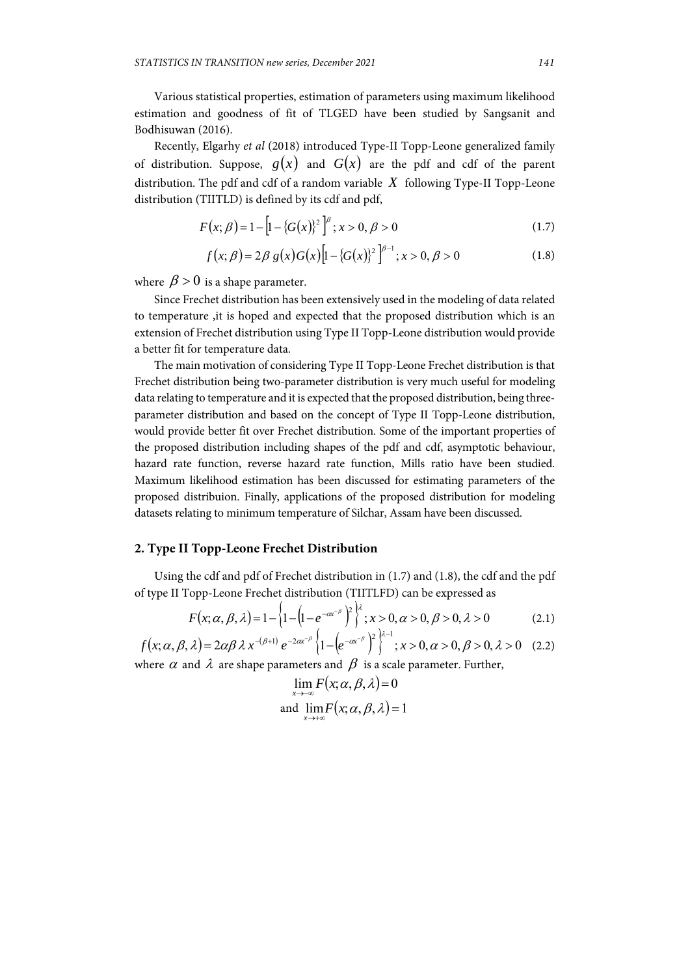Various statistical properties, estimation of parameters using maximum likelihood estimation and goodness of fit of TLGED have been studied by Sangsanit and Bodhisuwan (2016).

Recently, Elgarhy *et al* (2018) introduced Type-II Topp-Leone generalized family of distribution. Suppose,  $g(x)$  and  $G(x)$  are the pdf and cdf of the parent distribution. The pdf and cdf of a random variable *X* following Type-II Topp-Leone distribution (TIITLD) is defined by its cdf and pdf,

$$
F(x; \beta) = 1 - \left[1 - \left\{G(x)\right\}^2\right]^\beta; x > 0, \beta > 0 \tag{1.7}
$$

$$
f(x; \beta) = 2\beta g(x)G(x)\left[1 - \{G(x)\}^2\right]^{\beta - 1}; x > 0, \beta > 0
$$
 (1.8)

where  $\beta > 0$  is a shape parameter.

Since Frechet distribution has been extensively used in the modeling of data related to temperature ,it is hoped and expected that the proposed distribution which is an extension of Frechet distribution using Type II Topp-Leone distribution would provide a better fit for temperature data.

The main motivation of considering Type II Topp-Leone Frechet distribution is that Frechet distribution being two-parameter distribution is very much useful for modeling data relating to temperature and it is expected that the proposed distribution, being threeparameter distribution and based on the concept of Type II Topp-Leone distribution, would provide better fit over Frechet distribution. Some of the important properties of the proposed distribution including shapes of the pdf and cdf, asymptotic behaviour, hazard rate function, reverse hazard rate function, Mills ratio have been studied. Maximum likelihood estimation has been discussed for estimating parameters of the proposed distribuion. Finally, applications of the proposed distribution for modeling datasets relating to minimum temperature of Silchar, Assam have been discussed.

## **2. Type II Topp-Leone Frechet Distribution**

Using the cdf and pdf of Frechet distribution in (1.7) and (1.8), the cdf and the pdf of type II Topp-Leone Frechet distribution (TIITLFD) can be expressed as

$$
F(x; \alpha, \beta, \lambda) = 1 - \left\{ 1 - \left( 1 - e^{-\alpha x^{-\beta}} \right)^{\beta} \right\}^{\lambda}; x > 0, \alpha > 0, \beta > 0, \lambda > 0
$$
 (2.1)

 $f(x; \alpha, \beta, \lambda) = 2\alpha\beta\lambda x^{-(\beta+1)} e^{-2\alpha x^{-\beta}} \left\{1 - \left(e^{-\alpha x^{-\beta}}\right)^2\right\}^{\lambda-1}; x > 0, \alpha > 0, \beta > 0, \lambda > 0$  (2.2) where  $\alpha$  and  $\lambda$  are shape parameters and  $\beta$  is a scale parameter. Further,

$$
\lim_{x \to -\infty} F(x; \alpha, \beta, \lambda) = 0
$$
  
and 
$$
\lim_{x \to +\infty} F(x; \alpha, \beta, \lambda) = 1
$$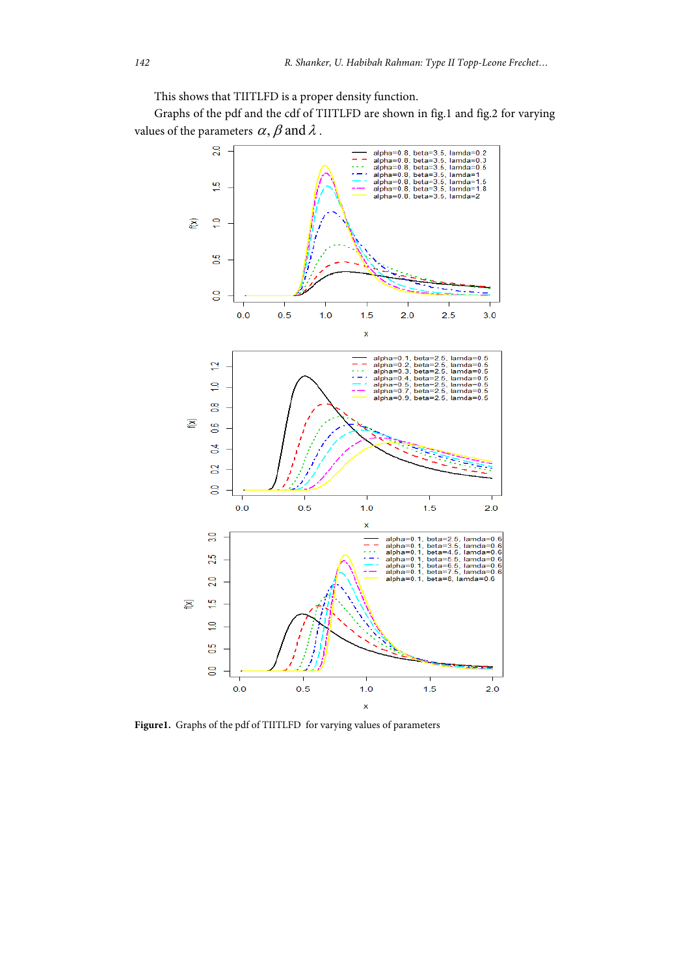This shows that TIITLFD is a proper density function.

Graphs of the pdf and the cdf of TIITLFD are shown in fig.1 and fig.2 for varying values of the parameters  $\alpha$ ,  $\beta$  and  $\lambda$ .



**Figure1.** Graphs of the pdf of TIITLFD for varying values of parameters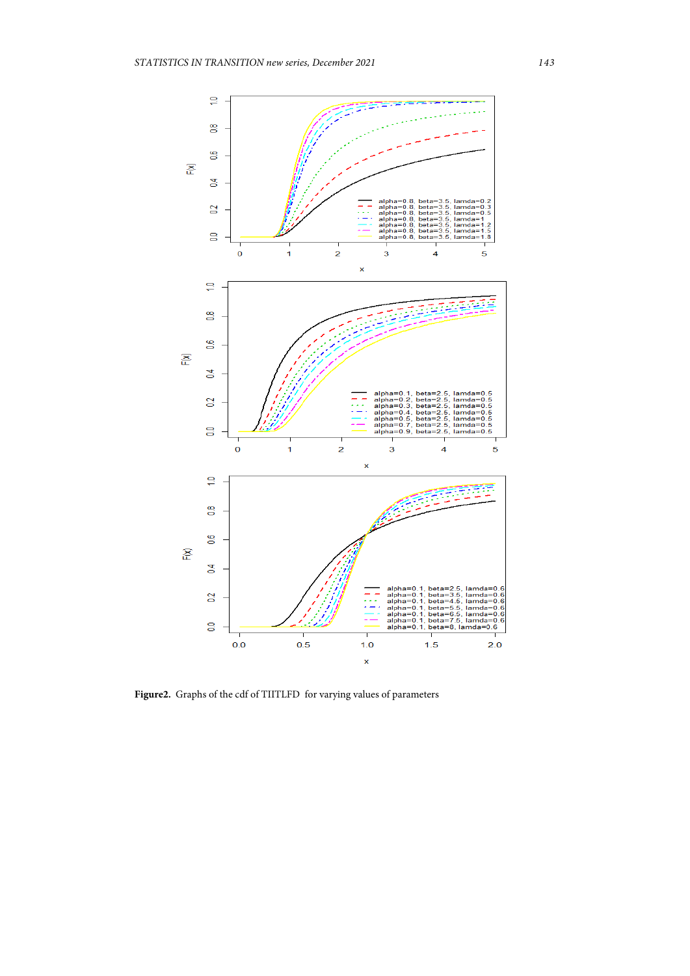

**Figure2.** Graphs of the cdf of TIITLFD for varying values of parameters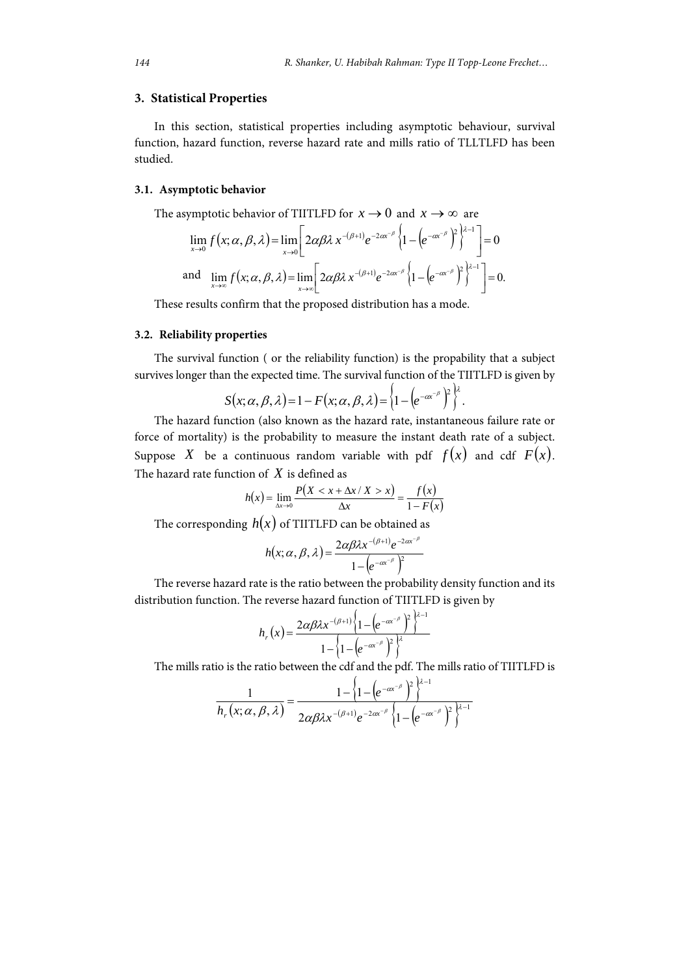#### **3. Statistical Properties**

In this section, statistical properties including asymptotic behaviour, survival function, hazard function, reverse hazard rate and mills ratio of TLLTLFD has been studied.

#### **3.1. Asymptotic behavior**

The asymptotic behavior of TIITLFD for  $x \to 0$  and  $x \to \infty$  are

$$
\lim_{x \to 0} f(x; \alpha, \beta, \lambda) = \lim_{x \to 0} \left[ 2\alpha \beta \lambda x^{-(\beta+1)} e^{-2\alpha x^{-\beta}} \left\{ 1 - \left( e^{-\alpha x^{-\beta}} \right)^2 \right\}^{\lambda - 1} \right] = 0
$$
\nand\n
$$
\lim_{x \to \infty} f(x; \alpha, \beta, \lambda) = \lim_{x \to \infty} \left[ 2\alpha \beta \lambda x^{-(\beta+1)} e^{-2\alpha x^{-\beta}} \left\{ 1 - \left( e^{-\alpha x^{-\beta}} \right)^2 \right\}^{\lambda - 1} \right] = 0.
$$

These results confirm that the proposed distribution has a mode.

#### **3.2. Reliability properties**

The survival function ( or the reliability function) is the propability that a subject survives longer than the expected time. The survival function of the TIITLFD is given by

$$
S(x; \alpha, \beta, \lambda) = 1 - F(x; \alpha, \beta, \lambda) = \left\{1 - \left(e^{-\alpha x^{-\beta}}\right)^2\right\}^{\lambda}.
$$

The hazard function (also known as the hazard rate, instantaneous failure rate or force of mortality) is the probability to measure the instant death rate of a subject. Suppose *X* be a continuous random variable with pdf  $f(x)$  and cdf  $F(x)$ . The hazard rate function of *X* is defined as

$$
h(x) = \lim_{\Delta x \to 0} \frac{P(X < x + \Delta x / X > x)}{\Delta x} = \frac{f(x)}{1 - F(x)}
$$

The corresponding  $h(x)$  of TIITLFD can be obtained as

$$
h(x; \alpha, \beta, \lambda) = \frac{2\alpha\beta\lambda x^{-(\beta+1)}e^{-2\alpha x^{-\beta}}}{1-\left(e^{-\alpha x^{-\beta}}\right)^2}
$$

The reverse hazard rate is the ratio between the probability density function and its distribution function. The reverse hazard function of TIITLFD is given by

$$
h_r(x) = \frac{2\alpha\beta\lambda x^{-(\beta+1)}\left\{1 - \left(e^{-\alpha x^{-\beta}}\right)^2\right\}^{\lambda-1}}{1 - \left\{1 - \left(e^{-\alpha x^{-\beta}}\right)^2\right\}^{\lambda}}
$$

The mills ratio is the ratio between the cdf and the pdf. The mills ratio of TIITLFD is

$$
\frac{1}{h_r(x;\alpha,\beta,\lambda)} = \frac{1 - \left\{1 - \left(e^{-\alpha x^{-\beta}}\right)^2\right\}^{\lambda-1}}{2\alpha\beta\lambda x^{-(\beta+1)}e^{-2\alpha x^{-\beta}}\left\{1 - \left(e^{-\alpha x^{-\beta}}\right)^2\right\}^{\lambda-1}}
$$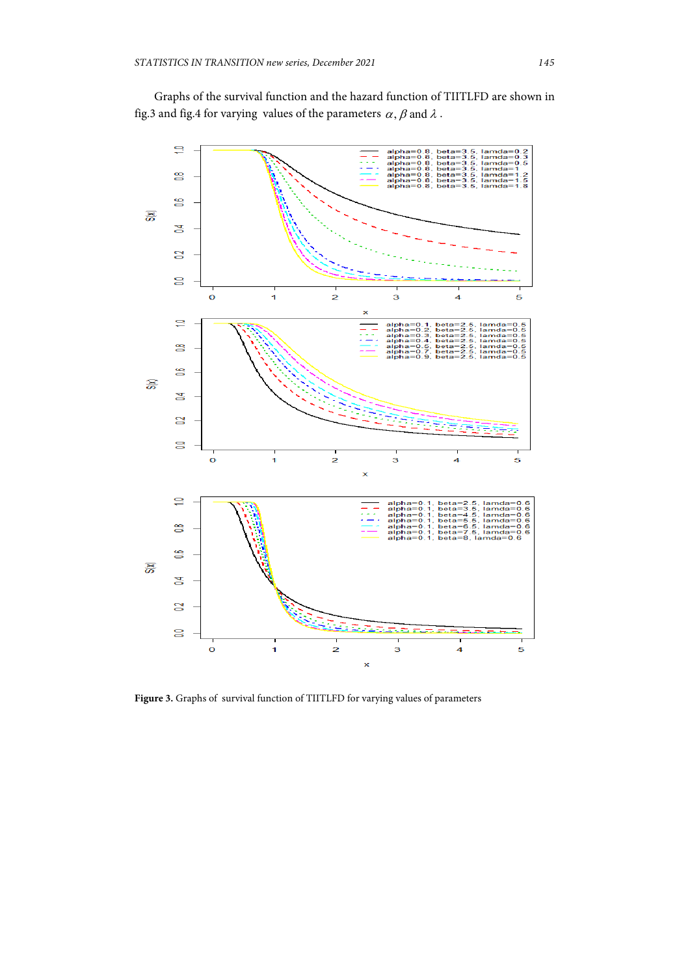Graphs of the survival function and the hazard function of TIITLFD are shown in fig.3 and fig.4 for varying values of the parameters  $\alpha$ ,  $\beta$  and  $\lambda$ .



**Figure 3.** Graphs of survival function of TIITLFD for varying values of parameters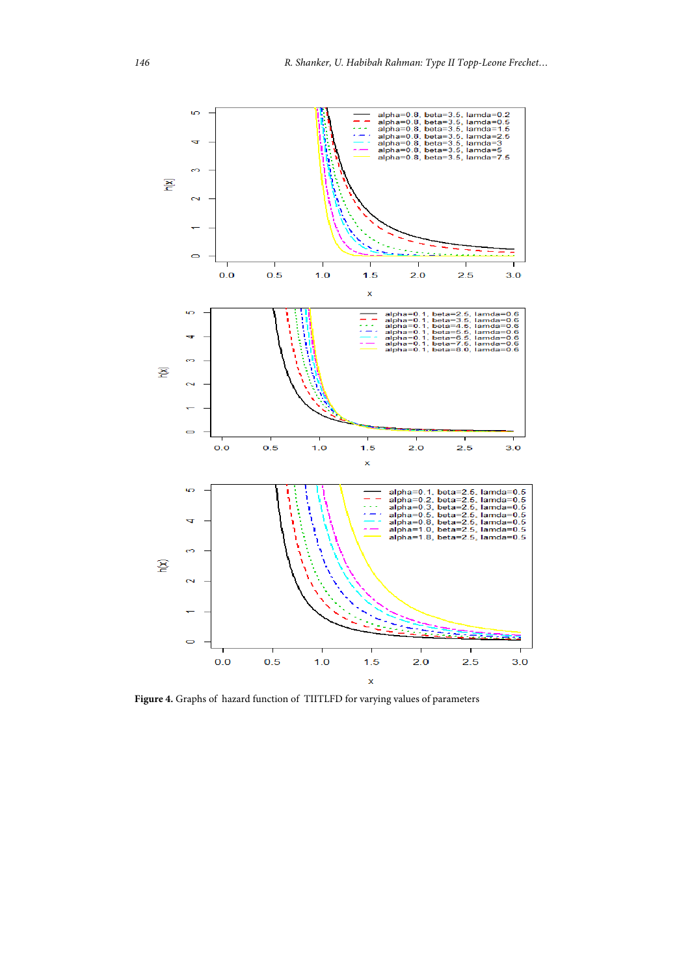

**Figure 4.** Graphs of hazard function of TIITLFD for varying values of parameters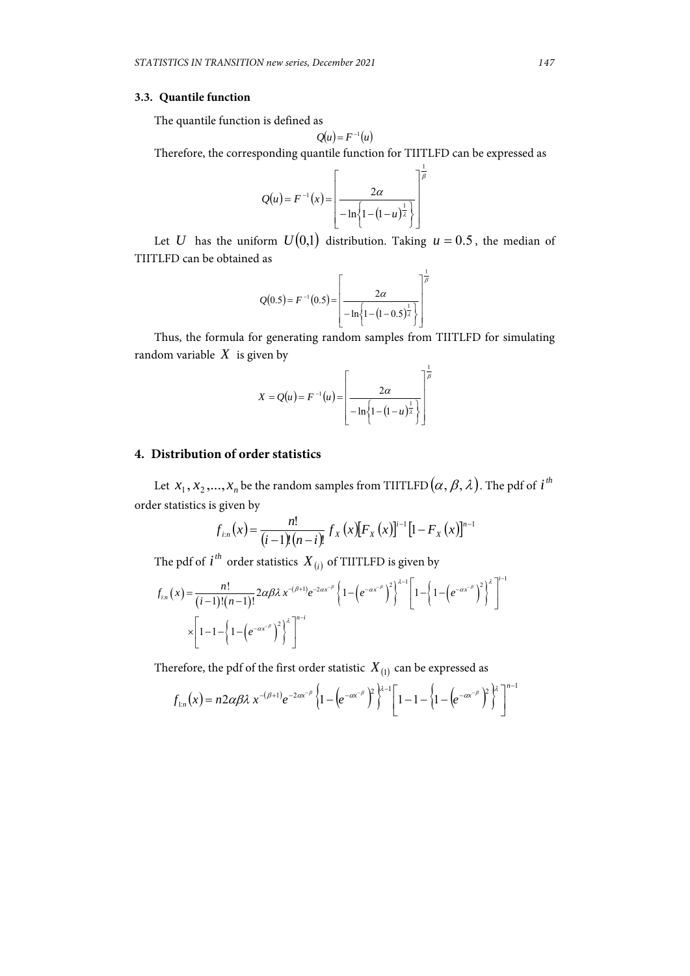#### **3.3. Quantile function**

The quantile function is defined as

$$
Q(u) = F^{-1}(u)
$$

Therefore, the corresponding quantile function for TIITLFD can be expressed as

$$
Q(u) = F^{-1}(x) = \left[ \frac{2\alpha}{-\ln\left\{1 - (1-u)^{\frac{1}{\lambda}}\right\}} \right]^{\frac{1}{\beta}}
$$

Let *U* has the uniform  $U(0,1)$  distribution. Taking  $u = 0.5$ , the median of TIITLFD can be obtained as

$$
Q(0.5) = F^{-1}(0.5) = \left[ \frac{2\alpha}{-\ln\left\{1 - (1 - 0.5)^{\frac{1}{\lambda}}\right\}} \right]^{\frac{1}{\beta}}
$$

Thus, the formula for generating random samples from TIITLFD for simulating random variable  $X$  is given by

$$
X = Q(u) = F^{-1}(u) = \left[ \frac{2\alpha}{-\ln\left(1 - (1 - u)^{\frac{1}{\lambda}}\right)} \right]^{\frac{1}{\beta}}
$$

## **4. Distribution of order statistics**

Let  $x_1, x_2, ..., x_n$  be the random samples from TIITLFD  $(\alpha, \beta, \lambda)$ . The pdf of *i*<sup>th</sup> order statistics is given by

$$
f_{i:n}(x) = \frac{n!}{(i-1)!(n-i)!} f_X(x) [F_X(x)]^{i-1} [1 - F_X(x)]^{n-1}
$$

The pdf of  $i^{th}$  order statistics  $X_{(i)}$  of TIITLFD is given by

$$
f_{in}(x) = \frac{n!}{(i-1)!(n-1)!} 2\alpha \beta \lambda x^{-(\beta+1)} e^{-2\alpha x^{-\beta}} \left\{ 1 - \left( e^{-\alpha x^{-\beta}} \right)^2 \right\}^{\lambda-1} \left[ 1 - \left( 1 - \left( e^{-\alpha x^{-\beta}} \right)^2 \right)^{\lambda} \right]^{i-1}
$$
  
 
$$
\times \left[ 1 - 1 - \left\{ 1 - \left( e^{-\alpha x^{-\beta}} \right)^2 \right\}^{\lambda} \right]^{n-i}
$$

Therefore, the pdf of the first order statistic  $X_{(1)}$  can be expressed as

$$
f_{1:n}(x) = n2\alpha\beta\lambda x^{-(\beta+1)}e^{-2\alpha x^{-\beta}}\left\{1-\left(e^{-\alpha x^{-\beta}}\right)^2\right\}^{\lambda-1}\left[1-1-\left\{1-\left(e^{-\alpha x^{-\beta}}\right)^2\right\}^{\lambda}\right]^{n-1}
$$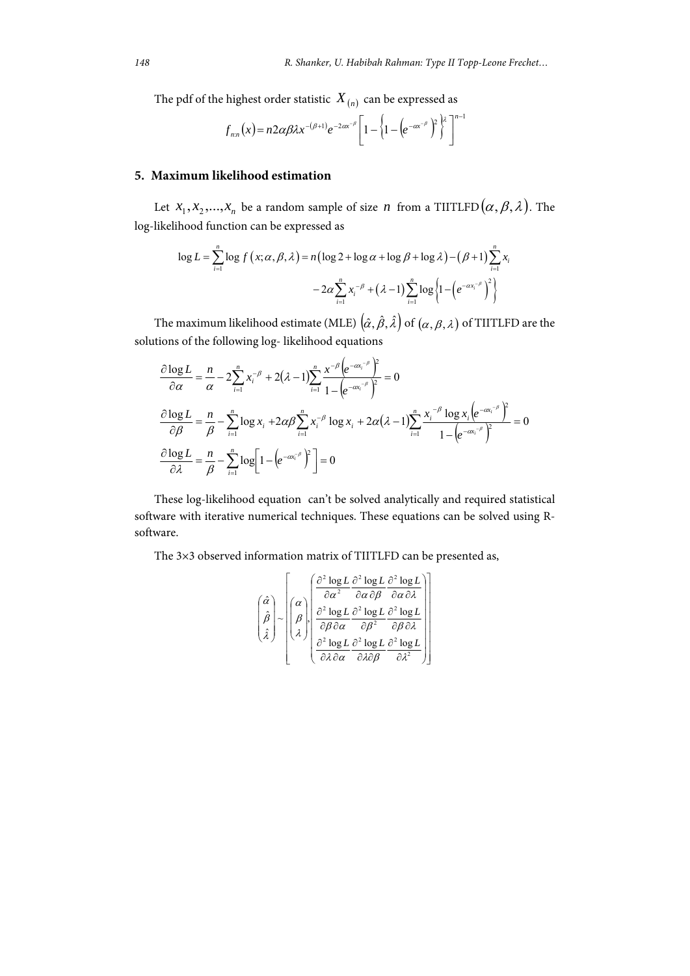The pdf of the highest order statistic  $X_{(n)}$  can be expressed as

$$
f_{n:n}(x) = n2\alpha\beta\lambda x^{-(\beta+1)}e^{-2\alpha x^{-\beta}}\left[1-\left(1-\left(e^{-\alpha x^{-\beta}}\right)^2\right)^{\lambda}\right]^{n-1}
$$

## **5. Maximum likelihood estimation**

Let  $x_1, x_2, ..., x_n$  be a random sample of size *n* from a TIITLFD  $(\alpha, \beta, \lambda)$ . The log-likelihood function can be expressed as

$$
\log L = \sum_{i=1}^{n} \log f\left(x; \alpha, \beta, \lambda\right) = n\left(\log 2 + \log \alpha + \log \beta + \log \lambda\right) - \left(\beta + 1\right) \sum_{i=1}^{n} x_i
$$

$$
-2\alpha \sum_{i=1}^{n} x_i^{-\beta} + \left(\lambda - 1\right) \sum_{i=1}^{n} \log \left\{1 - \left(e^{-\alpha x_i^{-\beta}}\right)^2\right\}
$$

The maximum likelihood estimate (MLE)  $(\hat{\alpha}, \hat{\beta}, \hat{\lambda})$  of  $(\alpha, \beta, \lambda)$  of TIITLFD are the solutions of the following log- likelihood equations

$$
\frac{\partial \log L}{\partial \alpha} = \frac{n}{\alpha} - 2 \sum_{i=1}^{n} x_i^{-\beta} + 2(\lambda - 1) \sum_{i=1}^{n} \frac{x^{-\beta} \left(e^{-\alpha x_i^{-\beta}}\right)^2}{1 - \left(e^{-\alpha x_i^{-\beta}}\right)^2} = 0
$$
\n
$$
\frac{\partial \log L}{\partial \beta} = \frac{n}{\beta} - \sum_{i=1}^{n} \log x_i + 2\alpha \beta \sum_{i=1}^{n} x_i^{-\beta} \log x_i + 2\alpha (\lambda - 1) \sum_{i=1}^{n} \frac{x_i^{-\beta} \log x_i \left(e^{-\alpha x_i^{-\beta}}\right)^2}{1 - \left(e^{-\alpha x_i^{-\beta}}\right)^2} = 0
$$
\n
$$
\frac{\partial \log L}{\partial \lambda} = \frac{n}{\beta} - \sum_{i=1}^{n} \log \left[1 - \left(e^{-\alpha x_i^{-\beta}}\right)^2\right] = 0
$$

These log-likelihood equation can't be solved analytically and required statistical software with iterative numerical techniques. These equations can be solved using Rsoftware.

The 3×3 observed information matrix of TIITLFD can be presented as,

$$
\begin{pmatrix}\n\hat{\alpha} \\
\hat{\beta} \\
\hat{\lambda}\n\end{pmatrix}\n\sim\n\begin{bmatrix}\n\alpha \\
\beta \\
\beta \\
\lambda\n\end{bmatrix}\n\cdot\n\begin{bmatrix}\n\frac{\partial^2 \log L}{\partial \alpha^2} & \frac{\partial^2 \log L}{\partial \alpha \partial \beta} & \frac{\partial^2 \log L}{\partial \alpha \partial \lambda} \\
\frac{\partial^2 \log L}{\partial \beta \partial \alpha} & \frac{\partial^2 \log L}{\partial \beta^2} & \frac{\partial^2 \log L}{\partial \beta \partial \lambda} \\
\frac{\partial^2 \log L}{\partial \lambda \partial \alpha} & \frac{\partial^2 \log L}{\partial \lambda \partial \beta} & \frac{\partial^2 \log L}{\partial \lambda^2}\n\end{bmatrix}
$$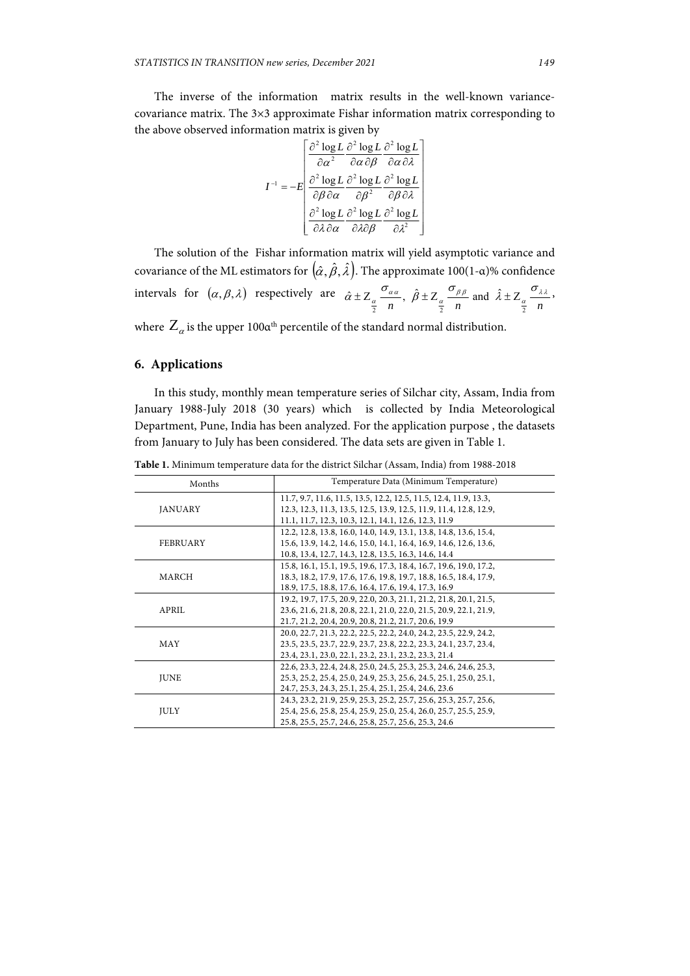The inverse of the information matrix results in the well-known variancecovariance matrix. The 3×3 approximate Fishar information matrix corresponding to the above observed information matrix is given by

$$
I^{-1} = -E \left[ \frac{\frac{\partial^2 \log L}{\partial \alpha^2} \frac{\partial^2 \log L}{\partial \alpha \partial \beta} \frac{\partial^2 \log L}{\partial \alpha \partial \lambda} \right]
$$

$$
I^{-1} = -E \left[ \frac{\frac{\partial^2 \log L}{\partial \beta \partial \alpha} \frac{\partial^2 \log L}{\partial \beta^2} \frac{\partial^2 \log L}{\partial \beta \partial \lambda} \frac{\partial^2 \log L}{\partial \beta \partial \lambda} \frac{\partial^2 \log L}{\partial \lambda \partial \alpha} \frac{\partial^2 \log L}{\partial \lambda \partial \beta} \frac{\partial^2 \log L}{\partial \lambda^2} \right]
$$

The solution of the Fishar information matrix will yield asymptotic variance and covariance of the ML estimators for  $(\hat{\alpha}, \hat{\beta}, \hat{\lambda})$ . The approximate 100(1-α)% confidence intervals for  $(\alpha, \beta, \lambda)$  respectively are  $n^{n}$   $\frac{a}{2}$   $n$   $\frac{a}{2}$   $n$  $\alpha_{\alpha} \frac{\partial \alpha_{\alpha}}{\partial x}, \ \hat{\beta} \pm Z_{\alpha} \frac{\partial \beta_{\beta}}{\partial x}$  and  $\hat{\lambda} \pm Z_{\alpha} \frac{\partial \lambda_{\lambda}}{\partial x}$  $\hat{\alpha} \pm Z_{\alpha} \frac{\sigma_{\alpha\alpha}}{\sigma_{\beta}}, \ \hat{\beta} \pm Z_{\alpha} \frac{\sigma_{\beta\beta}}{\sigma_{\beta}}$  and  $\hat{\lambda} \pm Z_{\alpha} \frac{\sigma_{\beta}}{\sigma_{\beta}}$ 2  $\binom{n}{2}$  2  $\binom{n}{2}$  2  $\hat{\chi} \pm Z_{\alpha} \frac{\sigma_{\alpha \alpha}}{\sigma_{\alpha \beta}}, \ \hat{\beta} \pm Z_{\alpha} \frac{\sigma_{\beta \beta}}{\sigma_{\alpha \beta}}$  and  $\hat{\lambda} \pm Z_{\alpha} \frac{\sigma_{\lambda \lambda}}{\sigma_{\alpha \beta}},$ 

where  $Z_{\alpha}$  is the upper 100 $\alpha$ <sup>th</sup> percentile of the standard normal distribution.

## **6. Applications**

In this study, monthly mean temperature series of Silchar city, Assam, India from January 1988-July 2018 (30 years) which is collected by India Meteorological Department, Pune, India has been analyzed. For the application purpose , the datasets from January to July has been considered. The data sets are given in Table 1.

**Table 1.** Minimum temperature data for the district Silchar (Assam, India) from 1988-2018

| Months         | Temperature Data (Minimum Temperature)                                                                                                                                                         |  |  |  |  |
|----------------|------------------------------------------------------------------------------------------------------------------------------------------------------------------------------------------------|--|--|--|--|
| <b>JANUARY</b> | 11.7, 9.7, 11.6, 11.5, 13.5, 12.2, 12.5, 11.5, 12.4, 11.9, 13.3,<br>12.3, 12.3, 11.3, 13.5, 12.5, 13.9, 12.5, 11.9, 11.4, 12.8, 12.9,<br>11.1, 11.7, 12.3, 10.3, 12.1, 14.1, 12.6, 12.3, 11.9  |  |  |  |  |
| FEBRUARY       | 12.2, 12.8, 13.8, 16.0, 14.0, 14.9, 13.1, 13.8, 14.8, 13.6, 15.4,<br>15.6, 13.9, 14.2, 14.6, 15.0, 14.1, 16.4, 16.9, 14.6, 12.6, 13.6,<br>10.8, 13.4, 12.7, 14.3, 12.8, 13.5, 16.3, 14.6, 14.4 |  |  |  |  |
| MARCH          | 15.8, 16.1, 15.1, 19.5, 19.6, 17.3, 18.4, 16.7, 19.6, 19.0, 17.2,<br>18.3, 18.2, 17.9, 17.6, 17.6, 19.8, 19.7, 18.8, 16.5, 18.4, 17.9,<br>18.9, 17.5, 18.8, 17.6, 16.4, 17.6, 19.4, 17.3, 16.9 |  |  |  |  |
| APRIL          | 19.2, 19.7, 17.5, 20.9, 22.0, 20.3, 21.1, 21.2, 21.8, 20.1, 21.5,<br>23.6, 21.6, 21.8, 20.8, 22.1, 21.0, 22.0, 21.5, 20.9, 22.1, 21.9,<br>21.7, 21.2, 20.4, 20.9, 20.8, 21.2, 21.7, 20.6, 19.9 |  |  |  |  |
| MAY            | 20.0, 22.7, 21.3, 22.2, 22.5, 22.2, 24.0, 24.2, 23.5, 22.9, 24.2,<br>23.5, 23.5, 23.7, 22.9, 23.7, 23.8, 22.2, 23.3, 24.1, 23.7, 23.4,<br>23.4, 23.1, 23.0, 22.1, 23.2, 23.1, 23.2, 23.3, 21.4 |  |  |  |  |
| <b>JUNE</b>    | 22.6, 23.3, 22.4, 24.8, 25.0, 24.5, 25.3, 25.3, 24.6, 24.6, 25.3,<br>25.3, 25.2, 25.4, 25.0, 24.9, 25.3, 25.6, 24.5, 25.1, 25.0, 25.1,<br>24.7, 25.3, 24.3, 25.1, 25.4, 25.1, 25.4, 24.6, 23.6 |  |  |  |  |
| <b>JULY</b>    | 24.3, 23.2, 21.9, 25.9, 25.3, 25.2, 25.7, 25.6, 25.3, 25.7, 25.6,<br>25.4, 25.6, 25.8, 25.4, 25.9, 25.0, 25.4, 26.0, 25.7, 25.5, 25.9,<br>25.8, 25.5, 25.7, 24.6, 25.8, 25.7, 25.6, 25.3, 24.6 |  |  |  |  |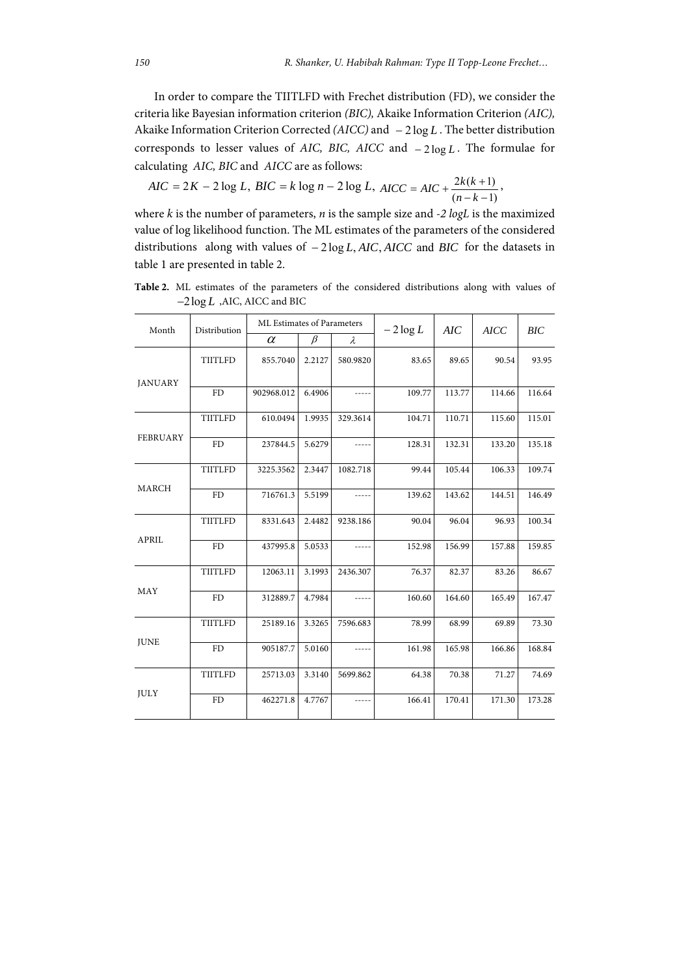In order to compare the TIITLFD with Frechet distribution (FD), we consider the criteria like Bayesian information criterion *(BIC),* Akaike Information Criterion *(AIC),* Akaike Information Criterion Corrected ( $AICC$ ) and  $-2log L$ . The better distribution corresponds to lesser values of *AIC*, *BIC*, *AICC* and  $-2 \log L$ . The formulae for calculating *AIC, BIC* and *AICC* are as follows:

$$
AIC = 2K - 2\log L, BIC = k\log n - 2\log L, AICC = AIC + \frac{2k(k+1)}{(n-k-1)},
$$

where *k* is the number of parameters, *n* is the sample size and *-2 logL* is the maximized value of log likelihood function. The ML estimates of the parameters of the considered distributions along with values of  $-2\log L$ , *AIC*, *AICC* and *BIC* for the datasets in table 1 are presented in table 2.

**Table 2.** ML estimates of the parameters of the considered distributions along with values of 2log *L* ,AIC, AICC and BIC

| Month           | Distribution   | ML Estimates of Parameters |         | $-2\log L$  | AIC    | <b>AICC</b> | BIC    |        |
|-----------------|----------------|----------------------------|---------|-------------|--------|-------------|--------|--------|
|                 |                | $\alpha$                   | $\beta$ | $\lambda$   |        |             |        |        |
| <b>JANUARY</b>  | TIITLFD        | 855.7040                   | 2.2127  | 580.9820    | 83.65  | 89.65       | 90.54  | 93.95  |
|                 | FD             | 902968.012                 | 6.4906  |             | 109.77 | 113.77      | 114.66 | 116.64 |
| <b>FEBRUARY</b> | TIITLFD        | 610.0494                   | 1.9935  | 329.3614    | 104.71 | 110.71      | 115.60 | 115.01 |
|                 | FD             | 237844.5                   | 5.6279  |             | 128.31 | 132.31      | 133.20 | 135.18 |
| MARCH           | TIITLFD        | 3225.3562                  | 2.3447  | 1082.718    | 99.44  | 105.44      | 106.33 | 109.74 |
|                 | FD             | 716761.3                   | 5.5199  | $- - - - -$ | 139.62 | 143.62      | 144.51 | 146.49 |
| <b>APRIL</b>    | <b>TIITLFD</b> | 8331.643                   | 2.4482  | 9238.186    | 90.04  | 96.04       | 96.93  | 100.34 |
|                 | FD             | 437995.8                   | 5.0533  | $- - - - -$ | 152.98 | 156.99      | 157.88 | 159.85 |
| MAY             | <b>TIITLFD</b> | 12063.11                   | 3.1993  | 2436.307    | 76.37  | 82.37       | 83.26  | 86.67  |
|                 | FD             | 312889.7                   | 4.7984  |             | 160.60 | 164.60      | 165.49 | 167.47 |
| <b>JUNE</b>     | TIITLFD        | 25189.16                   | 3.3265  | 7596.683    | 78.99  | 68.99       | 69.89  | 73.30  |
|                 | FD             | 905187.7                   | 5.0160  |             | 161.98 | 165.98      | 166.86 | 168.84 |
| JULY            | TIITLFD        | 25713.03                   | 3.3140  | 5699.862    | 64.38  | 70.38       | 71.27  | 74.69  |
|                 | FD             | 462271.8                   | 4.7767  |             | 166.41 | 170.41      | 171.30 | 173.28 |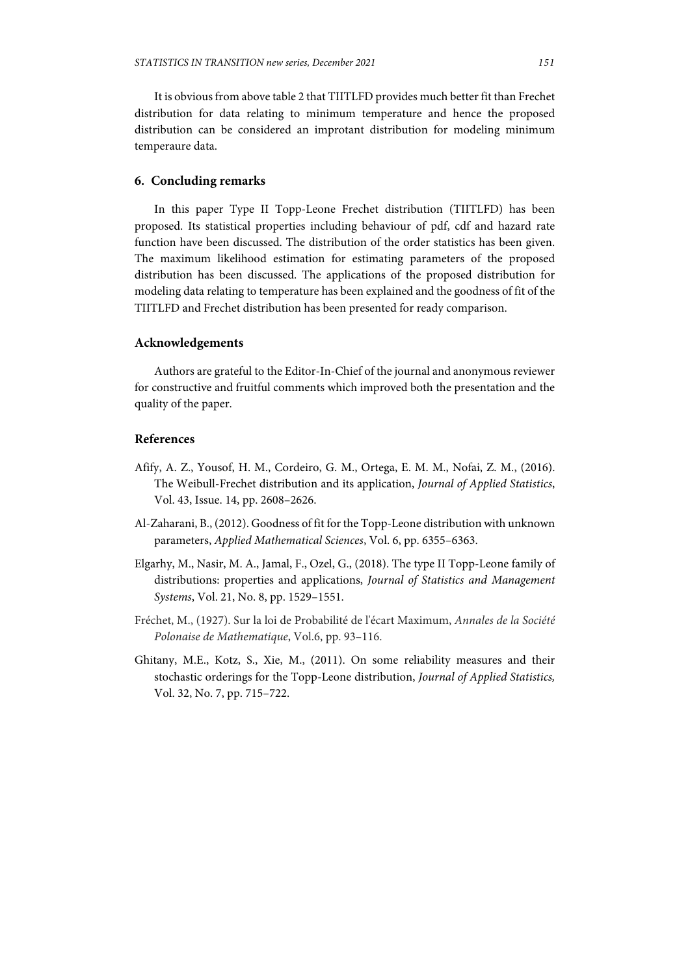It is obvious from above table 2 that TIITLFD provides much better fit than Frechet distribution for data relating to minimum temperature and hence the proposed distribution can be considered an improtant distribution for modeling minimum temperaure data.

#### **6. Concluding remarks**

In this paper Type II Topp-Leone Frechet distribution (TIITLFD) has been proposed. Its statistical properties including behaviour of pdf, cdf and hazard rate function have been discussed. The distribution of the order statistics has been given. The maximum likelihood estimation for estimating parameters of the proposed distribution has been discussed. The applications of the proposed distribution for modeling data relating to temperature has been explained and the goodness of fit of the TIITLFD and Frechet distribution has been presented for ready comparison.

## **Acknowledgements**

Authors are grateful to the Editor-In-Chief of the journal and anonymous reviewer for constructive and fruitful comments which improved both the presentation and the quality of the paper.

## **References**

- Afify, A. Z., Yousof, H. M., Cordeiro, G. M., Ortega, E. M. M., Nofai, Z. M., (2016). The Weibull-Frechet distribution and its application, *Journal of Applied Statistics*, Vol. 43, Issue. 14, pp. 2608–2626.
- Al-Zaharani, B., (2012). Goodness of fit for the Topp-Leone distribution with unknown parameters, *Applied Mathematical Sciences*, Vol. 6, pp. 6355–6363.
- Elgarhy, M., Nasir, M. A., Jamal, F., Ozel, G., (2018). The type II Topp-Leone family of distributions: properties and applications, *Journal of Statistics and Management Systems*, Vol. 21, No. 8, pp. 1529–1551.
- Fréchet, M., (1927). Sur la loi de Probabilité de l'écart Maximum, *Annales de la Société Polonaise de Mathematique*, Vol.6, pp. 93–116.
- Ghitany, M.E., Kotz, S., Xie, M., (2011). On some reliability measures and their stochastic orderings for the Topp-Leone distribution, *Journal of Applied Statistics,*  Vol. 32, No. 7, pp. 715–722.